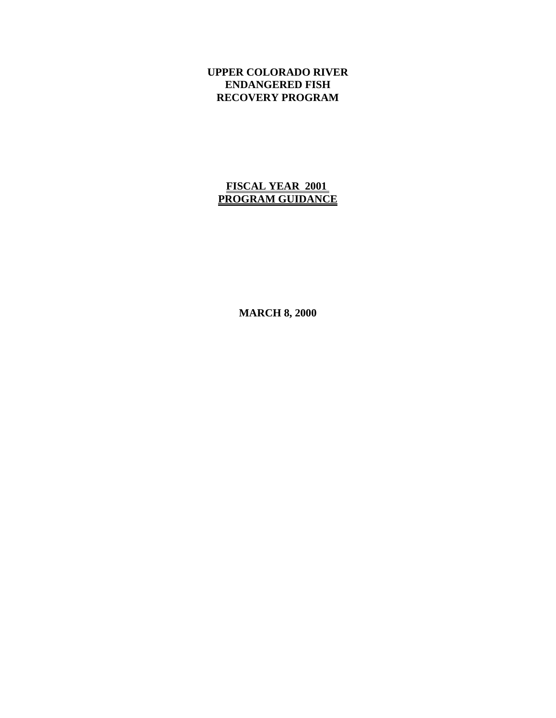# **UPPER COLORADO RIVER ENDANGERED FISH RECOVERY PROGRAM**

# **FISCAL YEAR 2001 PROGRAM GUIDANCE**

**MARCH 8, 2000**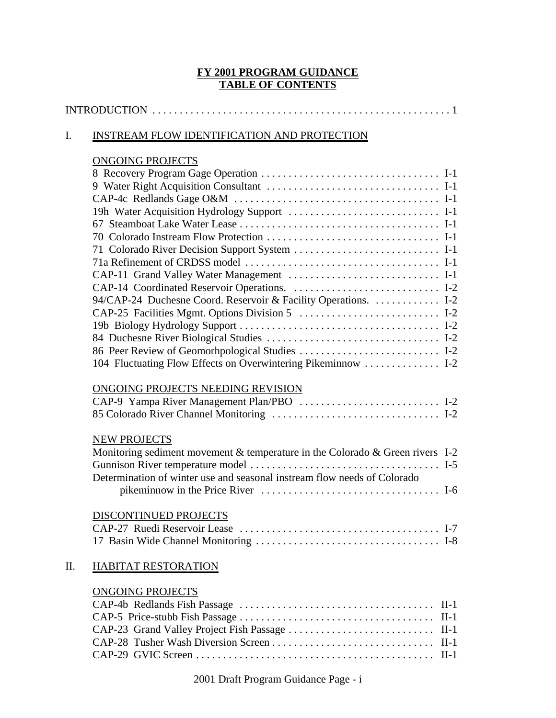### **FY 2001 PROGRAM GUIDANCE TABLE OF CONTENTS**

### I. INSTREAM FLOW IDENTIFICATION AND PROTECTION

# ONGOING PROJECTS

| 19h Water Acquisition Hydrology Support  I-1                                  |  |
|-------------------------------------------------------------------------------|--|
|                                                                               |  |
|                                                                               |  |
|                                                                               |  |
|                                                                               |  |
| CAP-11 Grand Valley Water Management  I-1                                     |  |
|                                                                               |  |
| 94/CAP-24 Duchesne Coord. Reservoir & Facility Operations.  I-2               |  |
|                                                                               |  |
|                                                                               |  |
|                                                                               |  |
| 86 Peer Review of Geomorhpological Studies  I-2                               |  |
| 104 Fluctuating Flow Effects on Overwintering Pikeminnow  I-2                 |  |
| ONGOING PROJECTS NEEDING REVISION                                             |  |
| CAP-9 Yampa River Management Plan/PBO  I-2                                    |  |
|                                                                               |  |
| <b>NEW PROJECTS</b>                                                           |  |
| Monitoring sediment movement & temperature in the Colorado & Green rivers I-2 |  |
|                                                                               |  |
| Determination of winter use and seasonal instream flow needs of Colorado      |  |
|                                                                               |  |
| DISCONTINUED PROJECTS                                                         |  |
|                                                                               |  |
|                                                                               |  |
| <b>HABITAT RESTORATION</b>                                                    |  |

# ONGOING PROJECTS

2001 Draft Program Guidance Page - i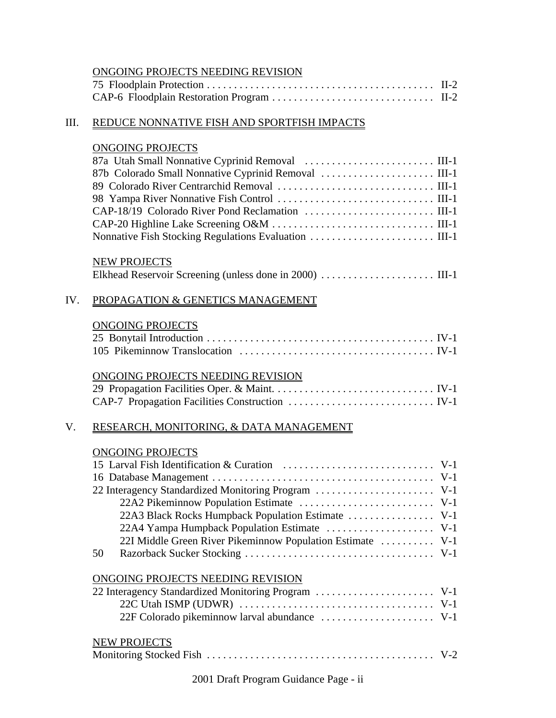### ONGOING PROJECTS NEEDING REVISION

### III. REDUCE NONNATIVE FISH AND SPORTFISH IMPACTS

### ONGOING PROJECTS

|     | <b>NEW PROJECTS</b>               |
|-----|-----------------------------------|
| TV. | PROPAGATION & GENETICS MANAGEMENT |

# ONGOING PROJECTS

### ONGOING PROJECTS NEEDING REVISION

# V. RESEARCH, MONITORING, & DATA MANAGEMENT

#### ONGOING PROJECTS

| 22 Interagency Standardized Monitoring Program  V-1        |  |
|------------------------------------------------------------|--|
|                                                            |  |
|                                                            |  |
|                                                            |  |
| 22I Middle Green River Pikeminnow Population Estimate  V-1 |  |
| 50                                                         |  |

# ONGOING PROJECTS NEEDING REVISION

| NEW PROJECTS |  |
|--------------|--|
|              |  |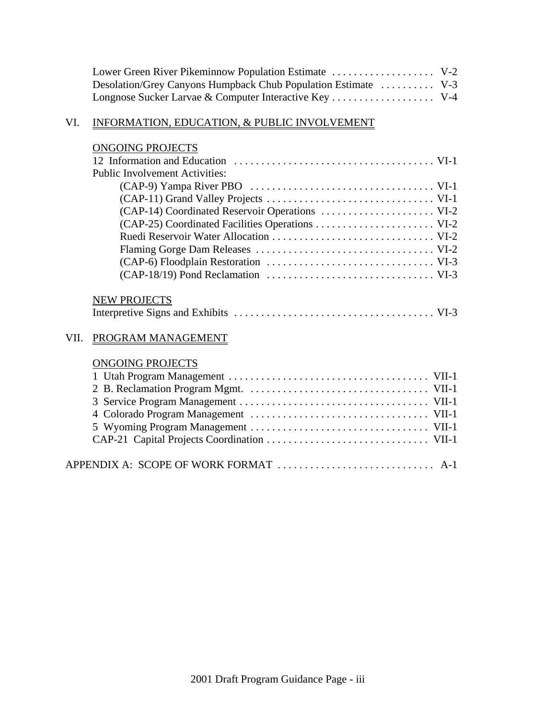| Desolation/Grey Canyons Humpback Chub Population Estimate  V-3 |  |
|----------------------------------------------------------------|--|
|                                                                |  |

### VI. INFORMATION, EDUCATION, & PUBLIC INVOLVEMENT

# ONGOING PROJECTS

| <b>Public Involvement Activities:</b>                                                                |
|------------------------------------------------------------------------------------------------------|
|                                                                                                      |
|                                                                                                      |
|                                                                                                      |
|                                                                                                      |
|                                                                                                      |
|                                                                                                      |
|                                                                                                      |
| $(CAP-18/19)$ Pond Reclamation $\ldots \ldots \ldots \ldots \ldots \ldots \ldots \ldots \ldots$ VI-3 |
|                                                                                                      |
| <b>NEW PROJECTS</b>                                                                                  |

# Interpretive Signs and Exhibits . . . . . . . . . . . . . . . . . . . . . . . . . . . . . . . . . . . . . VI-3

# VII. PROGRAM MANAGEMENT

### ONGOING PROJECTS

| APPENDIX A: SCOPE OF WORK FORMAT  A-1 |  |
|---------------------------------------|--|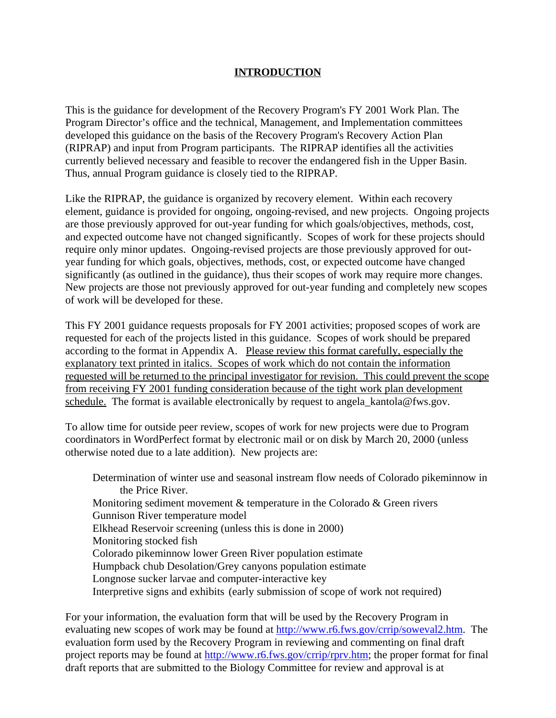### **INTRODUCTION**

This is the guidance for development of the Recovery Program's FY 2001 Work Plan. The Program Director's office and the technical, Management, and Implementation committees developed this guidance on the basis of the Recovery Program's Recovery Action Plan (RIPRAP) and input from Program participants. The RIPRAP identifies all the activities currently believed necessary and feasible to recover the endangered fish in the Upper Basin. Thus, annual Program guidance is closely tied to the RIPRAP.

Like the RIPRAP, the guidance is organized by recovery element. Within each recovery element, guidance is provided for ongoing, ongoing-revised, and new projects. Ongoing projects are those previously approved for out-year funding for which goals/objectives, methods, cost, and expected outcome have not changed significantly. Scopes of work for these projects should require only minor updates. Ongoing-revised projects are those previously approved for outyear funding for which goals, objectives, methods, cost, or expected outcome have changed significantly (as outlined in the guidance), thus their scopes of work may require more changes. New projects are those not previously approved for out-year funding and completely new scopes of work will be developed for these.

This FY 2001 guidance requests proposals for FY 2001 activities; proposed scopes of work are requested for each of the projects listed in this guidance. Scopes of work should be prepared according to the format in Appendix A. Please review this format carefully, especially the explanatory text printed in italics. Scopes of work which do not contain the information requested will be returned to the principal investigator for revision. This could prevent the scope from receiving FY 2001 funding consideration because of the tight work plan development schedule. The format is available electronically by request to angela kantola@fws.gov.

To allow time for outside peer review, scopes of work for new projects were due to Program coordinators in WordPerfect format by electronic mail or on disk by March 20, 2000 (unless otherwise noted due to a late addition). New projects are:

Determination of winter use and seasonal instream flow needs of Colorado pikeminnow in the Price River. Monitoring sediment movement & temperature in the Colorado & Green rivers Gunnison River temperature model Elkhead Reservoir screening (unless this is done in 2000) Monitoring stocked fish Colorado pikeminnow lower Green River population estimate Humpback chub Desolation/Grey canyons population estimate Longnose sucker larvae and computer-interactive key Interpretive signs and exhibits (early submission of scope of work not required)

For your information, the evaluation form that will be used by the Recovery Program in evaluating new scopes of work may be found at http://www.r6.fws.gov/crrip/soweval2.htm. The evaluation form used by the Recovery Program in reviewing and commenting on final draft project reports may be found at http://www.r6.fws.gov/crrip/rprv.htm; the proper format for final draft reports that are submitted to the Biology Committee for review and approval is at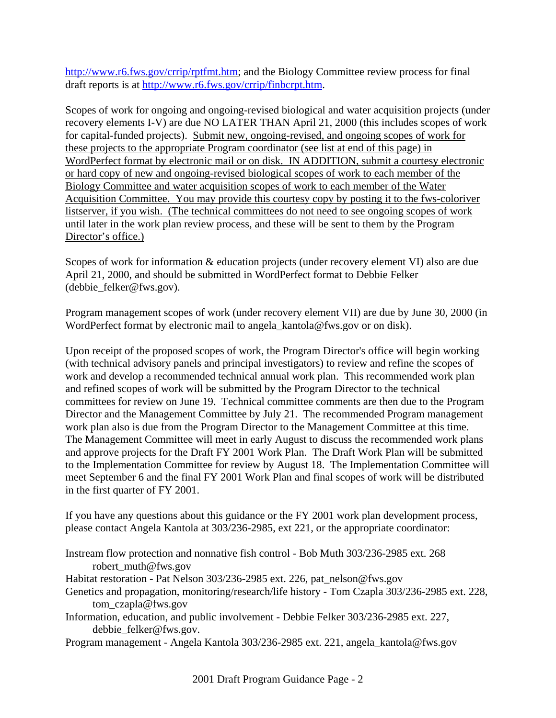http://www.r6.fws.gov/crrip/rptfmt.htm; and the Biology Committee review process for final draft reports is at http://www.r6.fws.gov/crrip/finbcrpt.htm.

Scopes of work for ongoing and ongoing-revised biological and water acquisition projects (under recovery elements I-V) are due NO LATER THAN April 21, 2000 (this includes scopes of work for capital-funded projects). Submit new, ongoing-revised, and ongoing scopes of work for these projects to the appropriate Program coordinator (see list at end of this page) in WordPerfect format by electronic mail or on disk. IN ADDITION, submit a courtesy electronic or hard copy of new and ongoing-revised biological scopes of work to each member of the Biology Committee and water acquisition scopes of work to each member of the Water Acquisition Committee. You may provide this courtesy copy by posting it to the fws-coloriver listserver, if you wish. (The technical committees do not need to see ongoing scopes of work until later in the work plan review process, and these will be sent to them by the Program Director's office.)

Scopes of work for information & education projects (under recovery element VI) also are due April 21, 2000, and should be submitted in WordPerfect format to Debbie Felker (debbie\_felker@fws.gov).

Program management scopes of work (under recovery element VII) are due by June 30, 2000 (in WordPerfect format by electronic mail to angela\_kantola@fws.gov or on disk).

Upon receipt of the proposed scopes of work, the Program Director's office will begin working (with technical advisory panels and principal investigators) to review and refine the scopes of work and develop a recommended technical annual work plan. This recommended work plan and refined scopes of work will be submitted by the Program Director to the technical committees for review on June 19. Technical committee comments are then due to the Program Director and the Management Committee by July 21. The recommended Program management work plan also is due from the Program Director to the Management Committee at this time. The Management Committee will meet in early August to discuss the recommended work plans and approve projects for the Draft FY 2001 Work Plan. The Draft Work Plan will be submitted to the Implementation Committee for review by August 18. The Implementation Committee will meet September 6 and the final FY 2001 Work Plan and final scopes of work will be distributed in the first quarter of FY 2001.

If you have any questions about this guidance or the FY 2001 work plan development process, please contact Angela Kantola at 303/236-2985, ext 221, or the appropriate coordinator:

Instream flow protection and nonnative fish control - Bob Muth 303/236-2985 ext. 268 robert\_muth@fws.gov

Habitat restoration - Pat Nelson 303/236-2985 ext. 226, pat\_nelson@fws.gov

- Genetics and propagation, monitoring/research/life history Tom Czapla 303/236-2985 ext. 228, tom\_czapla@fws.gov
- Information, education, and public involvement Debbie Felker 303/236-2985 ext. 227, debbie\_felker@fws.gov.

Program management - Angela Kantola 303/236-2985 ext. 221, angela\_kantola@fws.gov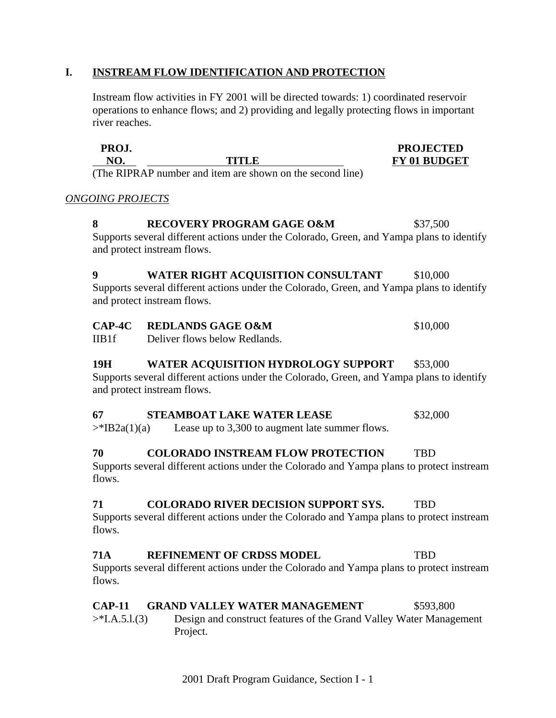#### **I. INSTREAM FLOW IDENTIFICATION AND PROTECTION**

Instream flow activities in FY 2001 will be directed towards: 1) coordinated reservoir operations to enhance flows; and 2) providing and legally protecting flows in important river reaches.

| PROJ.                         |  |        |  | <b>PROJECTED</b>    |
|-------------------------------|--|--------|--|---------------------|
|                               |  | TITI R |  | <b>FY 01 BUDGET</b> |
| <b>DIDD</b> in<br>$\sqrt{11}$ |  |        |  |                     |

(The RIPRAP number and item are shown on the second line)

#### *ONGOING PROJECTS*

#### **8** RECOVERY PROGRAM GAGE O&M \$37,500

Supports several different actions under the Colorado, Green, and Yampa plans to identify and protect instream flows.

# **9 WATER RIGHT ACQUISITION CONSULTANT** \$10,000

Supports several different actions under the Colorado, Green, and Yampa plans to identify and protect instream flows.

# **CAP-4C REDLANDS GAGE O&M** \$10,000

IIB1f Deliver flows below Redlands.

### 19H WATER ACQUISITION HYDROLOGY SUPPORT \$53,000

Supports several different actions under the Colorado, Green, and Yampa plans to identify and protect instream flows.

### **67 STEAMBOAT LAKE WATER LEASE** \$32,000

 $\Rightarrow$ \*IB2a(1)(a) Lease up to 3,300 to augment late summer flows.

#### **70 COLORADO INSTREAM FLOW PROTECTION** TBD

Supports several different actions under the Colorado and Yampa plans to protect instream flows.

### **71 COLORADO RIVER DECISION SUPPORT SYS.** TBD

Supports several different actions under the Colorado and Yampa plans to protect instream flows.

# **71A REFINEMENT OF CRDSS MODEL** TBD

Supports several different actions under the Colorado and Yampa plans to protect instream flows.

### **CAP-11 GRAND VALLEY WATER MANAGEMENT** \$593,800

>\*I.A.5.l.(3) Design and construct features of the Grand Valley Water Management Project.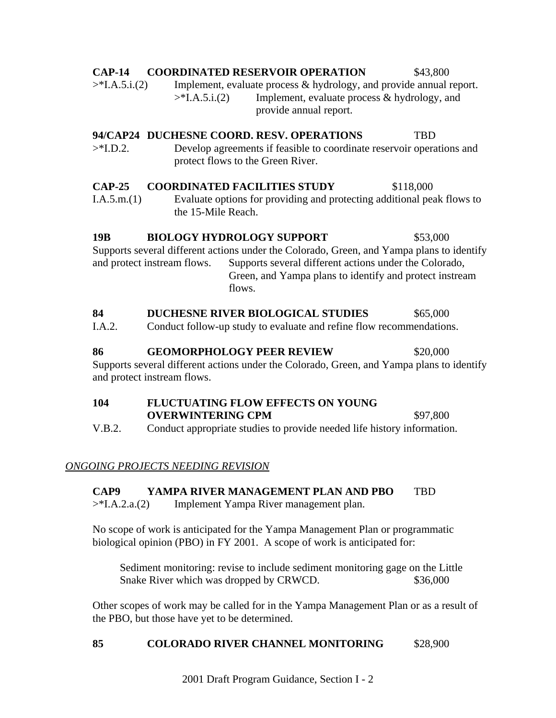I.A.5.m.(1) Evaluate options for providing and protecting additional peak flows to the 15-Mile Reach. Supports several different actions under the Colorado, Green, and Yampa plans to identify and protect instream flows. Supports several different actions under the Colorado, Green, and Yampa plans to identify and protect instream flows.

# 84 DUCHESNE RIVER BIOLOGICAL STUDIES  $$65,000$

I.A.2. Conduct follow-up study to evaluate and refine flow recommendations.

**86 GEOMORPHOLOGY PEER REVIEW \$20,000** Supports several different actions under the Colorado, Green, and Yampa plans to identify and protect instream flows.

**104 FLUCTUATING FLOW EFFECTS ON YOUNG OVERWINTERING CPM** \$97,800 V.B.2. Conduct appropriate studies to provide needed life history information.

# *ONGOING PROJECTS NEEDING REVISION*

# **CAP9 YAMPA RIVER MANAGEMENT PLAN AND PBO** TBD

>\*I.A.2.a.(2) Implement Yampa River management plan.

No scope of work is anticipated for the Yampa Management Plan or programmatic biological opinion (PBO) in FY 2001. A scope of work is anticipated for:

Sediment monitoring: revise to include sediment monitoring gage on the Little Snake River which was dropped by CRWCD.  $$36,000$ 

Other scopes of work may be called for in the Yampa Management Plan or as a result of the PBO, but those have yet to be determined.

# 85 **COLORADO RIVER CHANNEL MONITORING** \$28,900

2001 Draft Program Guidance, Section I - 2

# **CAP-14 COORDINATED RESERVOIR OPERATION** \$43,800

>\*I.A.5.i.(2) Implement, evaluate process & hydrology, and provide annual report. >\*I.A.5.i.(2) Implement, evaluate process & hydrology, and provide annual report.

# **94/CAP24 DUCHESNE COORD. RESV. OPERATIONS** TBD

>\*I.D.2. Develop agreements if feasible to coordinate reservoir operations and protect flows to the Green River.

# **CAP-25 COORDINATED FACILITIES STUDY** \$118,000

**19B BIOLOGY HYDROLOGY SUPPORT \$53,000**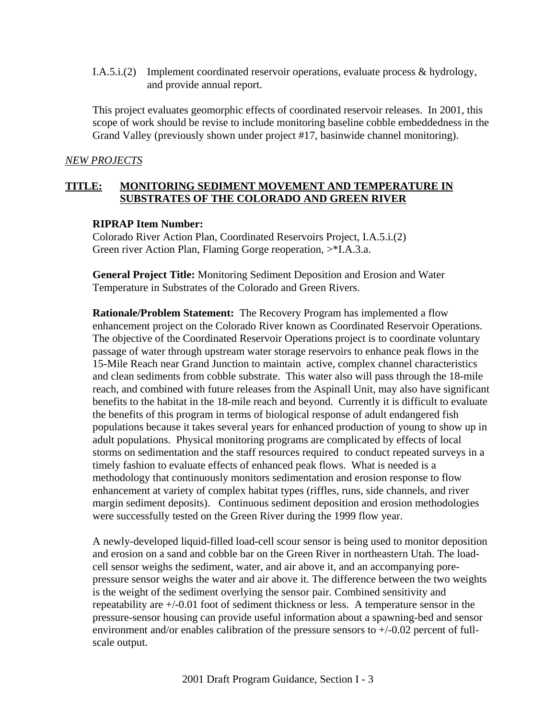I.A.5.i.(2) Implement coordinated reservoir operations, evaluate process & hydrology, and provide annual report.

This project evaluates geomorphic effects of coordinated reservoir releases. In 2001, this scope of work should be revise to include monitoring baseline cobble embeddedness in the Grand Valley (previously shown under project #17, basinwide channel monitoring).

#### *NEW PROJECTS*

### **TITLE: MONITORING SEDIMENT MOVEMENT AND TEMPERATURE IN SUBSTRATES OF THE COLORADO AND GREEN RIVER**

#### **RIPRAP Item Number:**

Colorado River Action Plan, Coordinated Reservoirs Project, I.A.5.i.(2) Green river Action Plan, Flaming Gorge reoperation, >\*I.A.3.a.

**General Project Title:** Monitoring Sediment Deposition and Erosion and Water Temperature in Substrates of the Colorado and Green Rivers.

**Rationale/Problem Statement:** The Recovery Program has implemented a flow enhancement project on the Colorado River known as Coordinated Reservoir Operations. The objective of the Coordinated Reservoir Operations project is to coordinate voluntary passage of water through upstream water storage reservoirs to enhance peak flows in the 15-Mile Reach near Grand Junction to maintain active, complex channel characteristics and clean sediments from cobble substrate. This water also will pass through the 18-mile reach, and combined with future releases from the Aspinall Unit, may also have significant benefits to the habitat in the 18-mile reach and beyond. Currently it is difficult to evaluate the benefits of this program in terms of biological response of adult endangered fish populations because it takes several years for enhanced production of young to show up in adult populations. Physical monitoring programs are complicated by effects of local storms on sedimentation and the staff resources required to conduct repeated surveys in a timely fashion to evaluate effects of enhanced peak flows. What is needed is a methodology that continuously monitors sedimentation and erosion response to flow enhancement at variety of complex habitat types (riffles, runs, side channels, and river margin sediment deposits). Continuous sediment deposition and erosion methodologies were successfully tested on the Green River during the 1999 flow year.

A newly-developed liquid-filled load-cell scour sensor is being used to monitor deposition and erosion on a sand and cobble bar on the Green River in northeastern Utah. The loadcell sensor weighs the sediment, water, and air above it, and an accompanying porepressure sensor weighs the water and air above it. The difference between the two weights is the weight of the sediment overlying the sensor pair. Combined sensitivity and repeatability are +/-0.01 foot of sediment thickness or less. A temperature sensor in the pressure-sensor housing can provide useful information about a spawning-bed and sensor environment and/or enables calibration of the pressure sensors to +/-0.02 percent of fullscale output.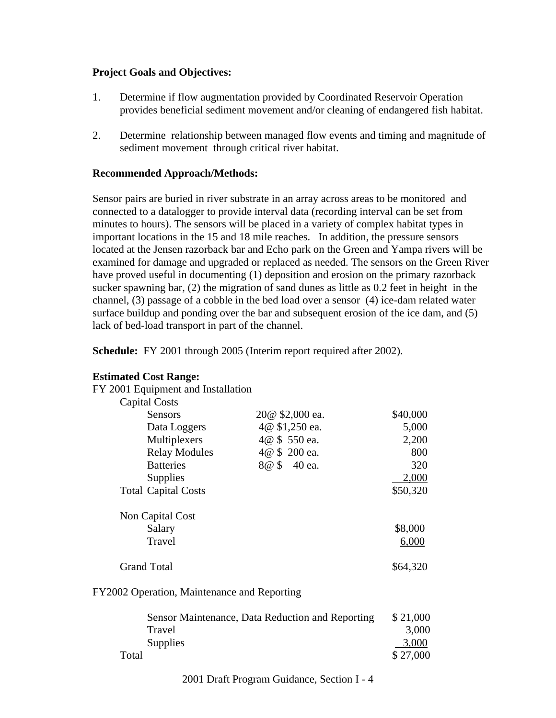#### **Project Goals and Objectives:**

- 1. Determine if flow augmentation provided by Coordinated Reservoir Operation provides beneficial sediment movement and/or cleaning of endangered fish habitat.
- 2. Determine relationship between managed flow events and timing and magnitude of sediment movement through critical river habitat.

### **Recommended Approach/Methods:**

Sensor pairs are buried in river substrate in an array across areas to be monitored and connected to a datalogger to provide interval data (recording interval can be set from minutes to hours). The sensors will be placed in a variety of complex habitat types in important locations in the 15 and 18 mile reaches. In addition, the pressure sensors located at the Jensen razorback bar and Echo park on the Green and Yampa rivers will be examined for damage and upgraded or replaced as needed. The sensors on the Green River have proved useful in documenting (1) deposition and erosion on the primary razorback sucker spawning bar, (2) the migration of sand dunes as little as 0.2 feet in height in the channel, (3) passage of a cobble in the bed load over a sensor (4) ice-dam related water surface buildup and ponding over the bar and subsequent erosion of the ice dam, and (5) lack of bed-load transport in part of the channel.

**Schedule:** FY 2001 through 2005 (Interim report required after 2002).

| FY 2001 Equipment and Installation |                 |          |
|------------------------------------|-----------------|----------|
| <b>Capital Costs</b>               |                 |          |
| Sensors                            | 20@ \$2,000 ea. | \$40,000 |
| Data Loggers                       | 4@ \$1,250 ea.  | 5,000    |
| Multiplexers                       | 4@ \$ 550 ea.   | 2,200    |
| <b>Relay Modules</b>               | 4@ \$ 200 ea.   | 800      |
| <b>Batteries</b>                   | 8@ \$ 40 ea.    | 320      |
| Supplies                           |                 | 2,000    |
| <b>Total Capital Costs</b>         |                 | \$50,320 |
| Non Capital Cost                   |                 |          |
| Salary                             |                 | \$8,000  |
| Travel                             |                 | 6,000    |
| <b>Grand Total</b>                 |                 | \$64,320 |

### **Estimated Cost Range:**

FY2002 Operation, Maintenance and Reporting

| Sensor Maintenance, Data Reduction and Reporting | \$21,000 |
|--------------------------------------------------|----------|
| Travel                                           | 3,000    |
| <b>Supplies</b>                                  | 3,000    |
| Total                                            | \$27,000 |

2001 Draft Program Guidance, Section I - 4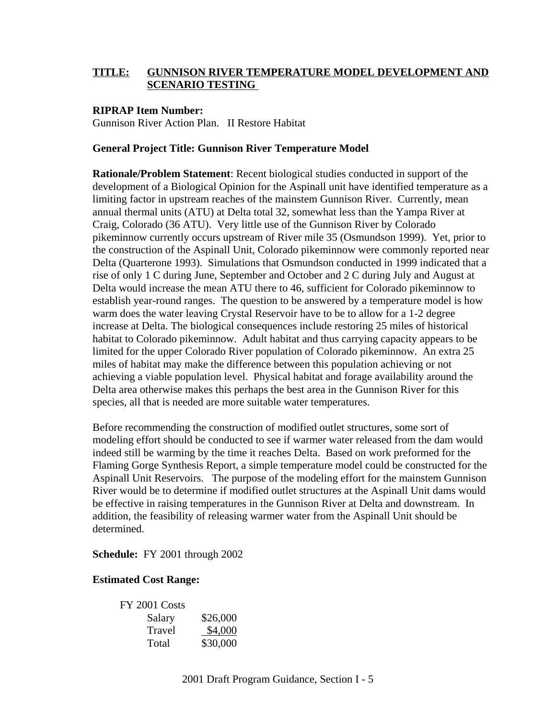### **TITLE: GUNNISON RIVER TEMPERATURE MODEL DEVELOPMENT AND SCENARIO TESTING**

#### **RIPRAP Item Number:**

Gunnison River Action Plan. II Restore Habitat

#### **General Project Title: Gunnison River Temperature Model**

**Rationale/Problem Statement**: Recent biological studies conducted in support of the development of a Biological Opinion for the Aspinall unit have identified temperature as a limiting factor in upstream reaches of the mainstem Gunnison River. Currently, mean annual thermal units (ATU) at Delta total 32, somewhat less than the Yampa River at Craig, Colorado (36 ATU). Very little use of the Gunnison River by Colorado pikeminnow currently occurs upstream of River mile 35 (Osmundson 1999). Yet, prior to the construction of the Aspinall Unit, Colorado pikeminnow were commonly reported near Delta (Quarterone 1993). Simulations that Osmundson conducted in 1999 indicated that a rise of only 1 C during June, September and October and 2 C during July and August at Delta would increase the mean ATU there to 46, sufficient for Colorado pikeminnow to establish year-round ranges. The question to be answered by a temperature model is how warm does the water leaving Crystal Reservoir have to be to allow for a 1-2 degree increase at Delta. The biological consequences include restoring 25 miles of historical habitat to Colorado pikeminnow. Adult habitat and thus carrying capacity appears to be limited for the upper Colorado River population of Colorado pikeminnow. An extra 25 miles of habitat may make the difference between this population achieving or not achieving a viable population level. Physical habitat and forage availability around the Delta area otherwise makes this perhaps the best area in the Gunnison River for this species, all that is needed are more suitable water temperatures.

Before recommending the construction of modified outlet structures, some sort of modeling effort should be conducted to see if warmer water released from the dam would indeed still be warming by the time it reaches Delta. Based on work preformed for the Flaming Gorge Synthesis Report, a simple temperature model could be constructed for the Aspinall Unit Reservoirs. The purpose of the modeling effort for the mainstem Gunnison River would be to determine if modified outlet structures at the Aspinall Unit dams would be effective in raising temperatures in the Gunnison River at Delta and downstream. In addition, the feasibility of releasing warmer water from the Aspinall Unit should be determined.

**Schedule:** FY 2001 through 2002

#### **Estimated Cost Range:**

| FY 2001 Costs |          |
|---------------|----------|
| Salary        | \$26,000 |
| Travel        | \$4,000  |
| Total         | \$30,000 |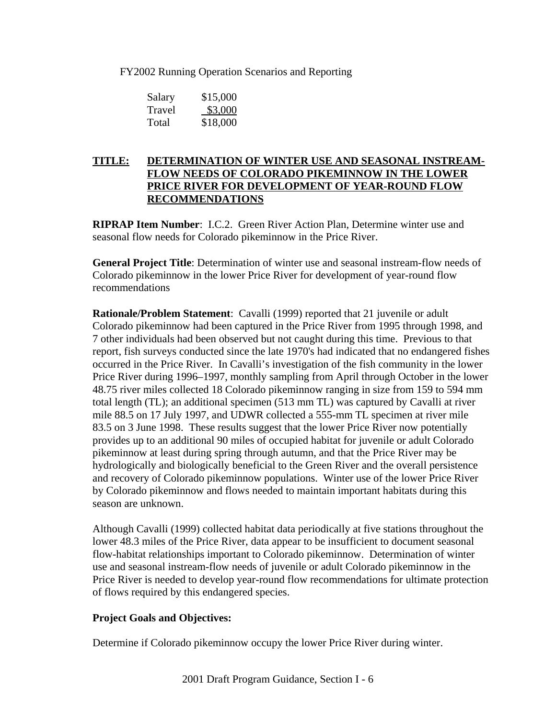FY2002 Running Operation Scenarios and Reporting

| Salary | \$15,000 |
|--------|----------|
| Travel | \$3,000  |
| Total  | \$18,000 |

### **TITLE: DETERMINATION OF WINTER USE AND SEASONAL INSTREAM-FLOW NEEDS OF COLORADO PIKEMINNOW IN THE LOWER PRICE RIVER FOR DEVELOPMENT OF YEAR-ROUND FLOW RECOMMENDATIONS**

**RIPRAP Item Number**: I.C.2. Green River Action Plan, Determine winter use and seasonal flow needs for Colorado pikeminnow in the Price River.

**General Project Title**: Determination of winter use and seasonal instream-flow needs of Colorado pikeminnow in the lower Price River for development of year-round flow recommendations

**Rationale/Problem Statement**: Cavalli (1999) reported that 21 juvenile or adult Colorado pikeminnow had been captured in the Price River from 1995 through 1998, and 7 other individuals had been observed but not caught during this time. Previous to that report, fish surveys conducted since the late 1970's had indicated that no endangered fishes occurred in the Price River. In Cavalli's investigation of the fish community in the lower Price River during 1996–1997, monthly sampling from April through October in the lower 48.75 river miles collected 18 Colorado pikeminnow ranging in size from 159 to 594 mm total length (TL); an additional specimen (513 mm TL) was captured by Cavalli at river mile 88.5 on 17 July 1997, and UDWR collected a 555-mm TL specimen at river mile 83.5 on 3 June 1998. These results suggest that the lower Price River now potentially provides up to an additional 90 miles of occupied habitat for juvenile or adult Colorado pikeminnow at least during spring through autumn, and that the Price River may be hydrologically and biologically beneficial to the Green River and the overall persistence and recovery of Colorado pikeminnow populations. Winter use of the lower Price River by Colorado pikeminnow and flows needed to maintain important habitats during this season are unknown.

Although Cavalli (1999) collected habitat data periodically at five stations throughout the lower 48.3 miles of the Price River, data appear to be insufficient to document seasonal flow-habitat relationships important to Colorado pikeminnow. Determination of winter use and seasonal instream-flow needs of juvenile or adult Colorado pikeminnow in the Price River is needed to develop year-round flow recommendations for ultimate protection of flows required by this endangered species.

### **Project Goals and Objectives:**

Determine if Colorado pikeminnow occupy the lower Price River during winter.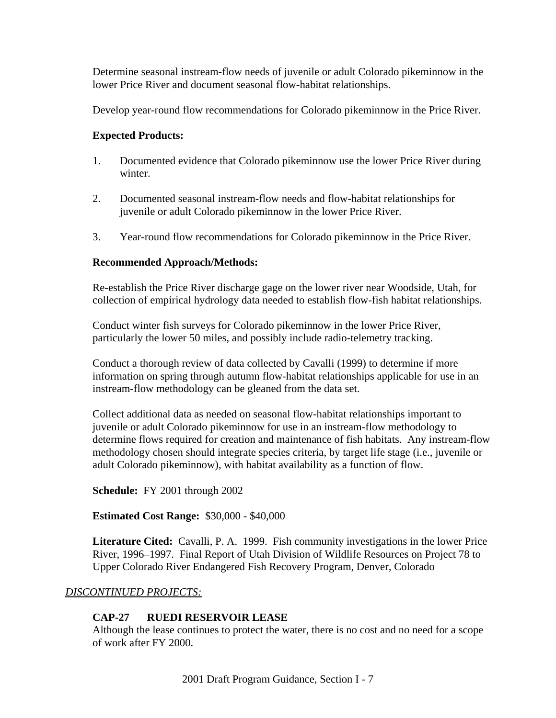Determine seasonal instream-flow needs of juvenile or adult Colorado pikeminnow in the lower Price River and document seasonal flow-habitat relationships.

Develop year-round flow recommendations for Colorado pikeminnow in the Price River.

### **Expected Products:**

- 1. Documented evidence that Colorado pikeminnow use the lower Price River during winter.
- 2. Documented seasonal instream-flow needs and flow-habitat relationships for juvenile or adult Colorado pikeminnow in the lower Price River.
- 3. Year-round flow recommendations for Colorado pikeminnow in the Price River.

### **Recommended Approach/Methods:**

Re-establish the Price River discharge gage on the lower river near Woodside, Utah, for collection of empirical hydrology data needed to establish flow-fish habitat relationships.

Conduct winter fish surveys for Colorado pikeminnow in the lower Price River, particularly the lower 50 miles, and possibly include radio-telemetry tracking.

Conduct a thorough review of data collected by Cavalli (1999) to determine if more information on spring through autumn flow-habitat relationships applicable for use in an instream-flow methodology can be gleaned from the data set.

Collect additional data as needed on seasonal flow-habitat relationships important to juvenile or adult Colorado pikeminnow for use in an instream-flow methodology to determine flows required for creation and maintenance of fish habitats. Any instream-flow methodology chosen should integrate species criteria, by target life stage (i.e., juvenile or adult Colorado pikeminnow), with habitat availability as a function of flow.

**Schedule:** FY 2001 through 2002

**Estimated Cost Range:** \$30,000 - \$40,000

**Literature Cited:** Cavalli, P. A. 1999. Fish community investigations in the lower Price River, 1996–1997. Final Report of Utah Division of Wildlife Resources on Project 78 to Upper Colorado River Endangered Fish Recovery Program, Denver, Colorado

### *DISCONTINUED PROJECTS:*

### **CAP-27 RUEDI RESERVOIR LEASE**

Although the lease continues to protect the water, there is no cost and no need for a scope of work after FY 2000.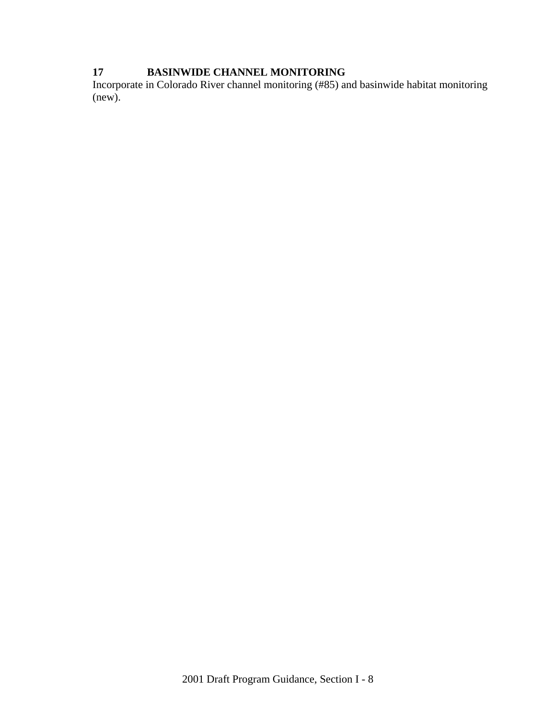# **17 BASINWIDE CHANNEL MONITORING**

Incorporate in Colorado River channel monitoring (#85) and basinwide habitat monitoring (new).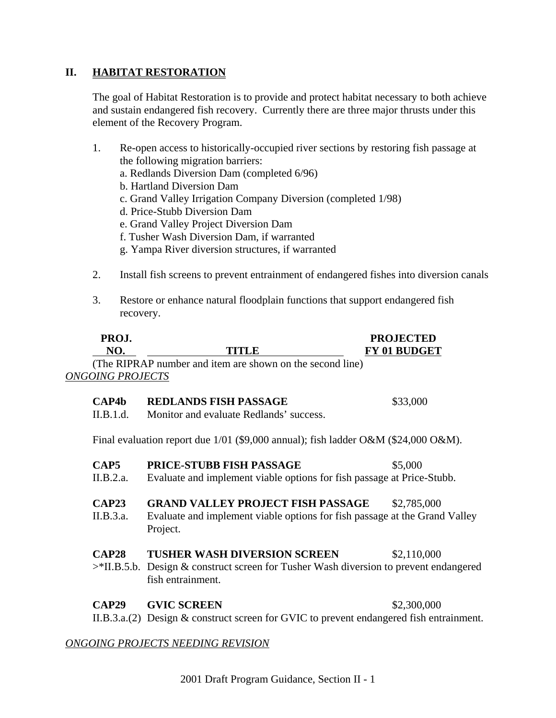### **II. HABITAT RESTORATION**

The goal of Habitat Restoration is to provide and protect habitat necessary to both achieve and sustain endangered fish recovery. Currently there are three major thrusts under this element of the Recovery Program.

- 1. Re-open access to historically-occupied river sections by restoring fish passage at the following migration barriers: a. Redlands Diversion Dam (completed 6/96) b. Hartland Diversion Dam c. Grand Valley Irrigation Company Diversion (completed 1/98) d. Price-Stubb Diversion Dam e. Grand Valley Project Diversion Dam f. Tusher Wash Diversion Dam, if warranted g. Yampa River diversion structures, if warranted 2. Install fish screens to prevent entrainment of endangered fishes into diversion canals
- 3. Restore or enhance natural floodplain functions that support endangered fish recovery.

| PROJ.<br>NO.                   | TITLE                                                                                                                                 | <b>PROJECTED</b><br>FY 01 BUDGET |
|--------------------------------|---------------------------------------------------------------------------------------------------------------------------------------|----------------------------------|
| <b>ONGOING PROJECTS</b>        | (The RIPRAP number and item are shown on the second line)                                                                             |                                  |
| $\mathbf{CAP4b}$<br>II.B.1.d.  | <b>REDLANDS FISH PASSAGE</b><br>Monitor and evaluate Redlands' success.                                                               | \$33,000                         |
|                                | Final evaluation report due $1/01$ (\$9,000 annual); fish ladder O&M (\$24,000 O&M).                                                  |                                  |
| CAP <sub>5</sub><br>II.B.2.a.  | PRICE-STUBB FISH PASSAGE<br>Evaluate and implement viable options for fish passage at Price-Stubb.                                    | \$5,000                          |
| <b>CAP23</b><br>II.B.3.a.      | <b>GRAND VALLEY PROJECT FISH PASSAGE</b><br>Evaluate and implement viable options for fish passage at the Grand Valley<br>Project.    | \$2,785,000                      |
| <b>CAP28</b><br>$>$ *II.B.5.b. | <b>TUSHER WASH DIVERSION SCREEN</b><br>Design & construct screen for Tusher Wash diversion to prevent endangered<br>fish entrainment. | \$2,110,000                      |
| CAP29                          | <b>GVIC SCREEN</b><br>II.B.3.a.(2) Design & construct screen for GVIC to prevent endangered fish entrainment.                         | \$2,300,000                      |
|                                | ONGOING PROJECTS NEEDING REVISION                                                                                                     |                                  |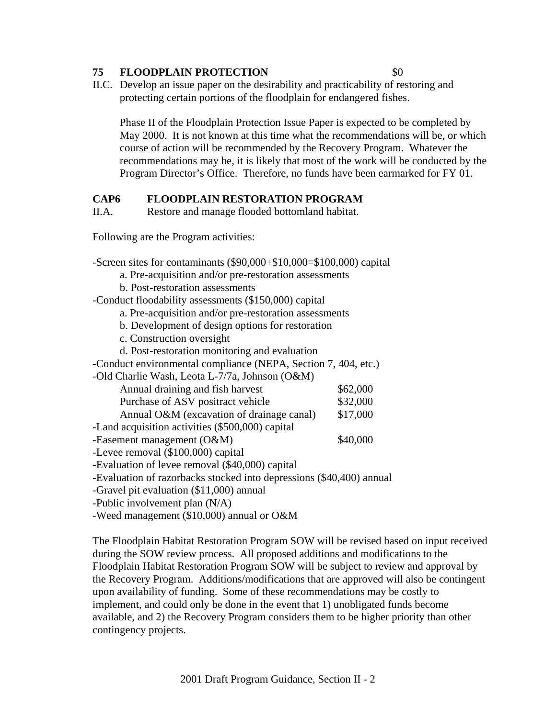#### **75 FLOODPLAIN PROTECTION** \$0

II.C. Develop an issue paper on the desirability and practicability of restoring and protecting certain portions of the floodplain for endangered fishes.

Phase II of the Floodplain Protection Issue Paper is expected to be completed by May 2000. It is not known at this time what the recommendations will be, or which course of action will be recommended by the Recovery Program. Whatever the recommendations may be, it is likely that most of the work will be conducted by the Program Director's Office. Therefore, no funds have been earmarked for FY 01.

#### **CAP6 FLOODPLAIN RESTORATION PROGRAM**

II.A. Restore and manage flooded bottomland habitat.

Following are the Program activities:

-Screen sites for contaminants (\$90,000+\$10,000=\$100,000) capital a. Pre-acquisition and/or pre-restoration assessments b. Post-restoration assessments -Conduct floodability assessments (\$150,000) capital a. Pre-acquisition and/or pre-restoration assessments b. Development of design options for restoration c. Construction oversight d. Post-restoration monitoring and evaluation -Conduct environmental compliance (NEPA, Section 7, 404, etc.) -Old Charlie Wash, Leota L-7/7a, Johnson (O&M) Annual draining and fish harvest  $$62,000$ Purchase of ASV positract vehicle  $$32,000$ Annual O&M (excavation of drainage canal)  $$17,000$ -Land acquisition activities (\$500,000) capital -Easement management (O&M) \$40,000 -Levee removal (\$100,000) capital -Evaluation of levee removal (\$40,000) capital -Evaluation of razorbacks stocked into depressions (\$40,400) annual -Gravel pit evaluation (\$11,000) annual -Public involvement plan (N/A)

-Weed management (\$10,000) annual or O&M

The Floodplain Habitat Restoration Program SOW will be revised based on input received during the SOW review process. All proposed additions and modifications to the Floodplain Habitat Restoration Program SOW will be subject to review and approval by the Recovery Program. Additions/modifications that are approved will also be contingent upon availability of funding. Some of these recommendations may be costly to implement, and could only be done in the event that 1) unobligated funds become available, and 2) the Recovery Program considers them to be higher priority than other contingency projects.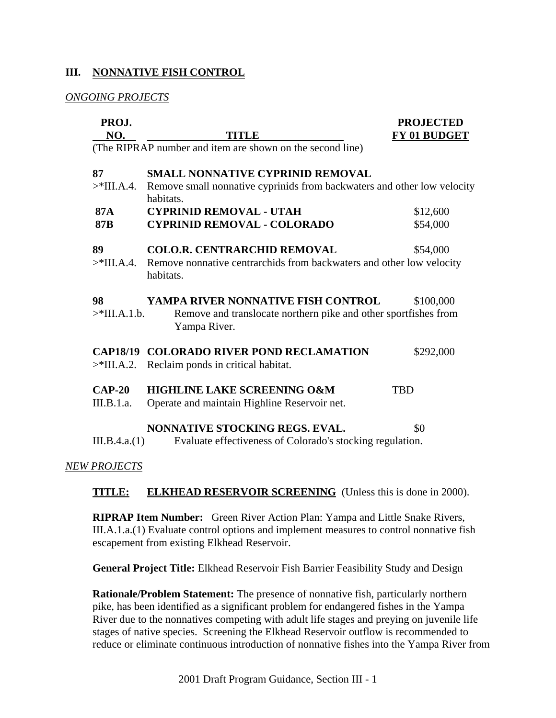### **III. NONNATIVE FISH CONTROL**

### *ONGOING PROJECTS*

| PROJ.<br>NO.           | <b>TITLE</b>                                                                                                          | <b>PROJECTED</b><br>FY 01 BUDGET |
|------------------------|-----------------------------------------------------------------------------------------------------------------------|----------------------------------|
|                        | (The RIPRAP number and item are shown on the second line)                                                             |                                  |
| 87                     | <b>SMALL NONNATIVE CYPRINID REMOVAL</b>                                                                               |                                  |
| $>$ *III.A.4.          | Remove small nonnative cyprinids from backwaters and other low velocity<br>habitats.                                  |                                  |
| <b>87A</b>             | <b>CYPRINID REMOVAL - UTAH</b>                                                                                        | \$12,600                         |
| <b>87B</b>             | <b>CYPRINID REMOVAL - COLORADO</b>                                                                                    | \$54,000                         |
| 89                     | <b>COLO.R. CENTRARCHID REMOVAL</b>                                                                                    | \$54,000                         |
| $>$ *III.A.4.          | Remove nonnative centrarchids from backwaters and other low velocity<br>habitats.                                     |                                  |
| 98<br>$>$ *III.A.1.b.  | YAMPA RIVER NONNATIVE FISH CONTROL<br>Remove and translocate northern pike and other sportfishes from<br>Yampa River. | \$100,000                        |
| $>$ *III.A.2.          | <b>CAP18/19 COLORADO RIVER POND RECLAMATION</b><br>Reclaim ponds in critical habitat.                                 | \$292,000                        |
| $CAP-20$<br>III.B.1.a. | <b>HIGHLINE LAKE SCREENING O&amp;M</b><br>Operate and maintain Highline Reservoir net.                                | <b>TBD</b>                       |
|                        | <b>NONNATIVE STOCKING REGS. EVAL.</b>                                                                                 | \$0                              |
| III.B.4.a.(1)          | Evaluate effectiveness of Colorado's stocking regulation.                                                             |                                  |
| <b>NEW PROJECTS</b>    |                                                                                                                       |                                  |

**TITLE: ELKHEAD RESERVOIR SCREENING** (Unless this is done in 2000).

**RIPRAP Item Number:** Green River Action Plan: Yampa and Little Snake Rivers, III.A.1.a.(1) Evaluate control options and implement measures to control nonnative fish escapement from existing Elkhead Reservoir.

**General Project Title:** Elkhead Reservoir Fish Barrier Feasibility Study and Design

**Rationale/Problem Statement:** The presence of nonnative fish, particularly northern pike, has been identified as a significant problem for endangered fishes in the Yampa River due to the nonnatives competing with adult life stages and preying on juvenile life stages of native species. Screening the Elkhead Reservoir outflow is recommended to reduce or eliminate continuous introduction of nonnative fishes into the Yampa River from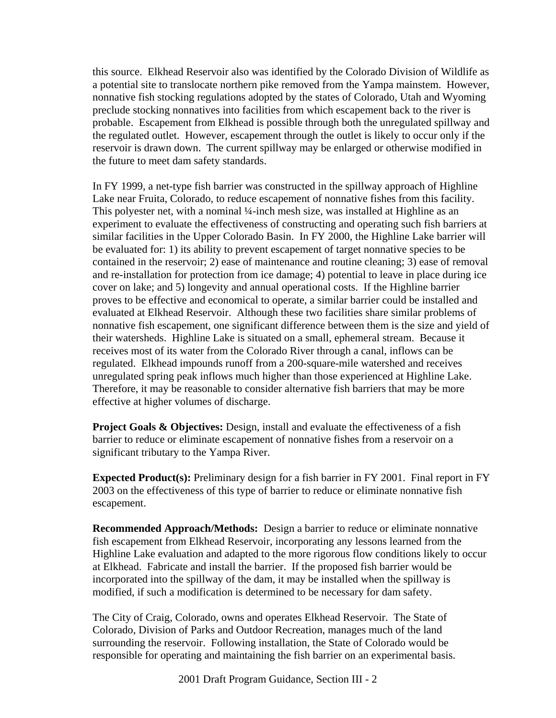this source. Elkhead Reservoir also was identified by the Colorado Division of Wildlife as a potential site to translocate northern pike removed from the Yampa mainstem. However, nonnative fish stocking regulations adopted by the states of Colorado, Utah and Wyoming preclude stocking nonnatives into facilities from which escapement back to the river is probable. Escapement from Elkhead is possible through both the unregulated spillway and the regulated outlet. However, escapement through the outlet is likely to occur only if the reservoir is drawn down. The current spillway may be enlarged or otherwise modified in the future to meet dam safety standards.

In FY 1999, a net-type fish barrier was constructed in the spillway approach of Highline Lake near Fruita, Colorado, to reduce escapement of nonnative fishes from this facility. This polyester net, with a nominal ¼-inch mesh size, was installed at Highline as an experiment to evaluate the effectiveness of constructing and operating such fish barriers at similar facilities in the Upper Colorado Basin. In FY 2000, the Highline Lake barrier will be evaluated for: 1) its ability to prevent escapement of target nonnative species to be contained in the reservoir; 2) ease of maintenance and routine cleaning; 3) ease of removal and re-installation for protection from ice damage; 4) potential to leave in place during ice cover on lake; and 5) longevity and annual operational costs. If the Highline barrier proves to be effective and economical to operate, a similar barrier could be installed and evaluated at Elkhead Reservoir. Although these two facilities share similar problems of nonnative fish escapement, one significant difference between them is the size and yield of their watersheds. Highline Lake is situated on a small, ephemeral stream. Because it receives most of its water from the Colorado River through a canal, inflows can be regulated. Elkhead impounds runoff from a 200-square-mile watershed and receives unregulated spring peak inflows much higher than those experienced at Highline Lake. Therefore, it may be reasonable to consider alternative fish barriers that may be more effective at higher volumes of discharge.

**Project Goals & Objectives:** Design, install and evaluate the effectiveness of a fish barrier to reduce or eliminate escapement of nonnative fishes from a reservoir on a significant tributary to the Yampa River.

**Expected Product(s):** Preliminary design for a fish barrier in FY 2001. Final report in FY 2003 on the effectiveness of this type of barrier to reduce or eliminate nonnative fish escapement.

**Recommended Approach/Methods:** Design a barrier to reduce or eliminate nonnative fish escapement from Elkhead Reservoir, incorporating any lessons learned from the Highline Lake evaluation and adapted to the more rigorous flow conditions likely to occur at Elkhead. Fabricate and install the barrier. If the proposed fish barrier would be incorporated into the spillway of the dam, it may be installed when the spillway is modified, if such a modification is determined to be necessary for dam safety.

The City of Craig, Colorado, owns and operates Elkhead Reservoir. The State of Colorado, Division of Parks and Outdoor Recreation, manages much of the land surrounding the reservoir. Following installation, the State of Colorado would be responsible for operating and maintaining the fish barrier on an experimental basis.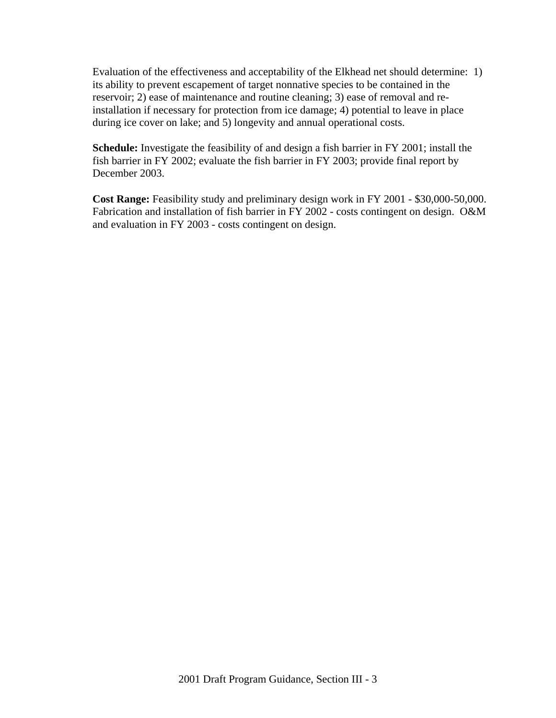Evaluation of the effectiveness and acceptability of the Elkhead net should determine: 1) its ability to prevent escapement of target nonnative species to be contained in the reservoir; 2) ease of maintenance and routine cleaning; 3) ease of removal and reinstallation if necessary for protection from ice damage; 4) potential to leave in place during ice cover on lake; and 5) longevity and annual operational costs.

**Schedule:** Investigate the feasibility of and design a fish barrier in FY 2001; install the fish barrier in FY 2002; evaluate the fish barrier in FY 2003; provide final report by December 2003.

**Cost Range:** Feasibility study and preliminary design work in FY 2001 - \$30,000-50,000. Fabrication and installation of fish barrier in FY 2002 - costs contingent on design. O&M and evaluation in FY 2003 - costs contingent on design.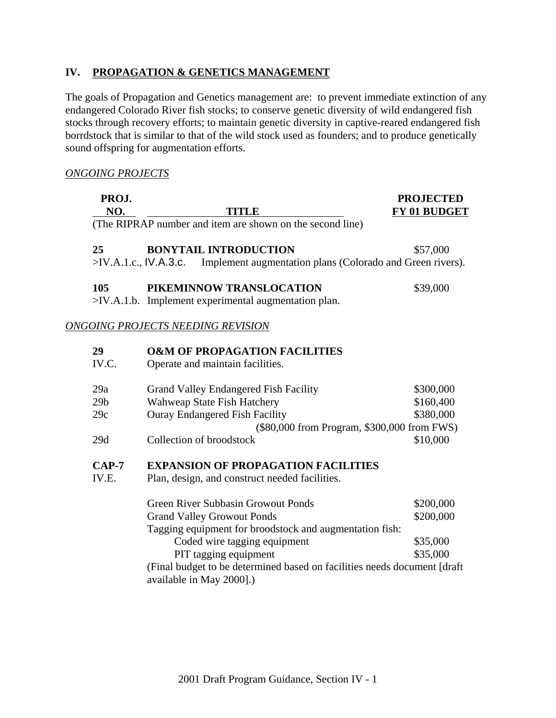### **IV. PROPAGATION & GENETICS MANAGEMENT**

The goals of Propagation and Genetics management are: to prevent immediate extinction of any endangered Colorado River fish stocks; to conserve genetic diversity of wild endangered fish stocks through recovery efforts; to maintain genetic diversity in captive-reared endangered fish borrdstock that is similar to that of the wild stock used as founders; and to produce genetically sound offspring for augmentation efforts.

#### *ONGOING PROJECTS*

| PROJ.<br>NO.    | <b>TITLE</b>                                                                    | <b>PROJECTED</b><br>FY 01 BUDGET |
|-----------------|---------------------------------------------------------------------------------|----------------------------------|
|                 | (The RIPRAP number and item are shown on the second line)                       |                                  |
| 25              | <b>BONYTAIL INTRODUCTION</b>                                                    | \$57,000                         |
|                 | >IV.A.1.c., IV.A.3.c. Implement augmentation plans (Colorado and Green rivers). |                                  |
| 105             | PIKEMINNOW TRANSLOCATION                                                        | \$39,000                         |
|                 | >IV.A.1.b. Implement experimental augmentation plan.                            |                                  |
|                 | ONGOING PROJECTS NEEDING REVISION                                               |                                  |
| 29              | <b>O&amp;M OF PROPAGATION FACILITIES</b>                                        |                                  |
| IV.C.           | Operate and maintain facilities.                                                |                                  |
| 29a             | Grand Valley Endangered Fish Facility                                           | \$300,000                        |
| 29 <sub>b</sub> | Wahweap State Fish Hatchery                                                     | \$160,400                        |
| 29c             | <b>Ouray Endangered Fish Facility</b>                                           | \$380,000                        |
|                 | (\$80,000 from Program, \$300,000 from FWS)                                     |                                  |
| 29d             | Collection of broodstock                                                        | \$10,000                         |
| $CAP-7$         | <b>EXPANSION OF PROPAGATION FACILITIES</b>                                      |                                  |
| IV.E.           | Plan, design, and construct needed facilities.                                  |                                  |
|                 | <b>Green River Subbasin Growout Ponds</b>                                       | \$200,000                        |
|                 | <b>Grand Valley Growout Ponds</b>                                               | \$200,000                        |
|                 | Tagging equipment for broodstock and augmentation fish:                         |                                  |
|                 | Coded wire tagging equipment                                                    | \$35,000                         |
|                 | PIT tagging equipment                                                           | \$35,000                         |
|                 | (Final budget to be determined based on facilities needs document [draft        |                                  |
|                 | available in May 2000].)                                                        |                                  |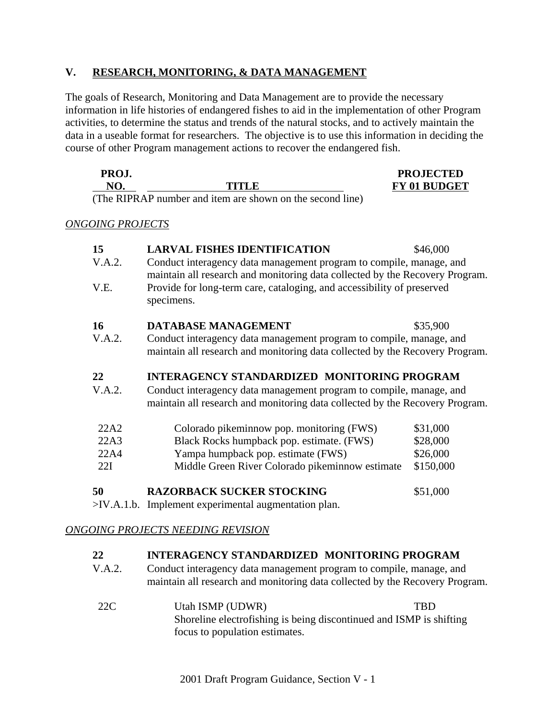### **V. RESEARCH, MONITORING, & DATA MANAGEMENT**

The goals of Research, Monitoring and Data Management are to provide the necessary information in life histories of endangered fishes to aid in the implementation of other Program activities, to determine the status and trends of the natural stocks, and to actively maintain the data in a useable format for researchers. The objective is to use this information in deciding the course of other Program management actions to recover the endangered fish.

| PROJ.                    |                                                                                                                                                                                                                                                                                               | <b>PROJECTED</b>    |
|--------------------------|-----------------------------------------------------------------------------------------------------------------------------------------------------------------------------------------------------------------------------------------------------------------------------------------------|---------------------|
| $\overline{\mathcal{M}}$ | TITI R                                                                                                                                                                                                                                                                                        | <b>FY 01 BUDGET</b> |
|                          | $\sqrt{11}$ 1 $\sqrt{11}$ 1 $\sqrt{11}$ 1 $\sqrt{11}$ 1 $\sqrt{11}$ 1 $\sqrt{11}$ 1 $\sqrt{11}$ 1 $\sqrt{11}$ 1 $\sqrt{11}$ 1 $\sqrt{11}$ 1 $\sqrt{11}$ 1 $\sqrt{11}$ 1 $\sqrt{11}$ 1 $\sqrt{11}$ 1 $\sqrt{11}$ 1 $\sqrt{11}$ $\sqrt{11}$ $\sqrt{11}$ $\sqrt{11}$ $\sqrt{11}$ $\sqrt{11}$ $\$ |                     |

(The RIPRAP number and item are shown on the second line)

*ONGOING PROJECTS*

| 15<br>V.A.2.<br>V.E. | <b>LARVAL FISHES IDENTIFICATION</b><br>Conduct interagency data management program to compile, manage, and<br>maintain all research and monitoring data collected by the Recovery Program.<br>Provide for long-term care, cataloging, and accessibility of preserved<br>specimens. | \$46,000  |
|----------------------|------------------------------------------------------------------------------------------------------------------------------------------------------------------------------------------------------------------------------------------------------------------------------------|-----------|
| <b>16</b>            | <b>DATABASE MANAGEMENT</b>                                                                                                                                                                                                                                                         | \$35,900  |
| V.A.2.               | Conduct interagency data management program to compile, manage, and<br>maintain all research and monitoring data collected by the Recovery Program.                                                                                                                                |           |
| 22<br>V.A.2.         | <b>INTERAGENCY STANDARDIZED MONITORING PROGRAM</b><br>Conduct interagency data management program to compile, manage, and<br>maintain all research and monitoring data collected by the Recovery Program.                                                                          |           |
| 22A2                 | Colorado pikeminnow pop. monitoring (FWS)                                                                                                                                                                                                                                          | \$31,000  |
| 22A3                 | Black Rocks humpback pop. estimate. (FWS)                                                                                                                                                                                                                                          | \$28,000  |
| 22A4                 | Yampa humpback pop. estimate (FWS)                                                                                                                                                                                                                                                 | \$26,000  |
| 22I                  | Middle Green River Colorado pikeminnow estimate                                                                                                                                                                                                                                    | \$150,000 |
| 50                   | <b>RAZORBACK SUCKER STOCKING</b><br>$>$ IV.A.1.b. Implement experimental augmentation plan.                                                                                                                                                                                        | \$51,000  |

### *ONGOING PROJECTS NEEDING REVISION*

### **22 INTERAGENCY STANDARDIZED MONITORING PROGRAM**

- V.A.2. Conduct interagency data management program to compile, manage, and maintain all research and monitoring data collected by the Recovery Program.
- 22C Utah ISMP (UDWR) TBD Shoreline electrofishing is being discontinued and ISMP is shifting focus to population estimates.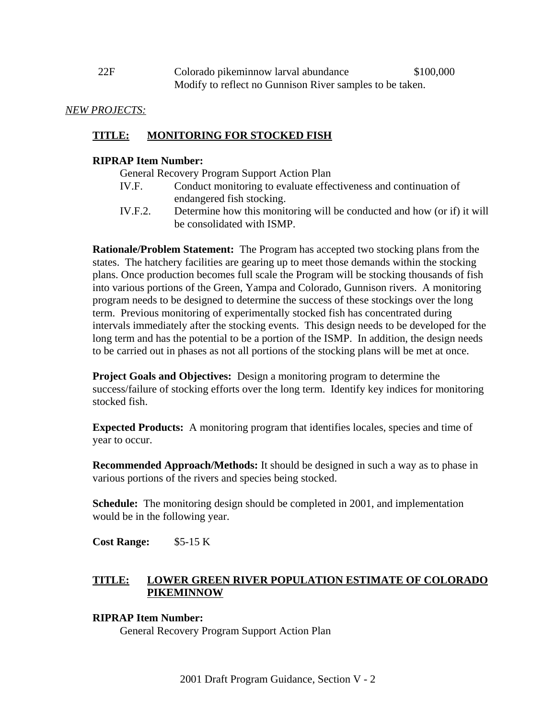| 22F | Colorado pikeminnow larval abundance                     | \$100,000 |
|-----|----------------------------------------------------------|-----------|
|     | Modify to reflect no Gunnison River samples to be taken. |           |

#### *NEW PROJECTS:*

### **TITLE: MONITORING FOR STOCKED FISH**

### **RIPRAP Item Number:**

General Recovery Program Support Action Plan

- IV.F. Conduct monitoring to evaluate effectiveness and continuation of endangered fish stocking.
- IV.F.2. Determine how this monitoring will be conducted and how (or if) it will be consolidated with ISMP.

**Rationale/Problem Statement:** The Program has accepted two stocking plans from the states. The hatchery facilities are gearing up to meet those demands within the stocking plans. Once production becomes full scale the Program will be stocking thousands of fish into various portions of the Green, Yampa and Colorado, Gunnison rivers. A monitoring program needs to be designed to determine the success of these stockings over the long term. Previous monitoring of experimentally stocked fish has concentrated during intervals immediately after the stocking events. This design needs to be developed for the long term and has the potential to be a portion of the ISMP. In addition, the design needs to be carried out in phases as not all portions of the stocking plans will be met at once.

**Project Goals and Objectives:** Design a monitoring program to determine the success/failure of stocking efforts over the long term. Identify key indices for monitoring stocked fish.

**Expected Products:** A monitoring program that identifies locales, species and time of year to occur.

**Recommended Approach/Methods:** It should be designed in such a way as to phase in various portions of the rivers and species being stocked.

**Schedule:** The monitoring design should be completed in 2001, and implementation would be in the following year.

**Cost Range:** \$5-15 K

### **TITLE: LOWER GREEN RIVER POPULATION ESTIMATE OF COLORADO PIKEMINNOW**

### **RIPRAP Item Number:**

General Recovery Program Support Action Plan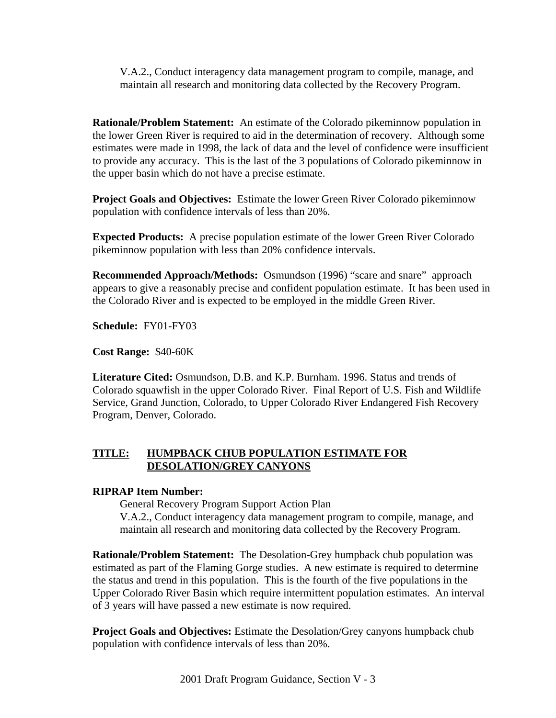V.A.2., Conduct interagency data management program to compile, manage, and maintain all research and monitoring data collected by the Recovery Program.

**Rationale/Problem Statement:** An estimate of the Colorado pikeminnow population in the lower Green River is required to aid in the determination of recovery. Although some estimates were made in 1998, the lack of data and the level of confidence were insufficient to provide any accuracy. This is the last of the 3 populations of Colorado pikeminnow in the upper basin which do not have a precise estimate.

**Project Goals and Objectives:** Estimate the lower Green River Colorado pikeminnow population with confidence intervals of less than 20%.

**Expected Products:** A precise population estimate of the lower Green River Colorado pikeminnow population with less than 20% confidence intervals.

**Recommended Approach/Methods:** Osmundson (1996) "scare and snare" approach appears to give a reasonably precise and confident population estimate. It has been used in the Colorado River and is expected to be employed in the middle Green River.

**Schedule:** FY01-FY03

**Cost Range:** \$40-60K

**Literature Cited:** Osmundson, D.B. and K.P. Burnham. 1996. Status and trends of Colorado squawfish in the upper Colorado River. Final Report of U.S. Fish and Wildlife Service, Grand Junction, Colorado, to Upper Colorado River Endangered Fish Recovery Program, Denver, Colorado.

### **TITLE: HUMPBACK CHUB POPULATION ESTIMATE FOR DESOLATION/GREY CANYONS**

### **RIPRAP Item Number:**

General Recovery Program Support Action Plan V.A.2., Conduct interagency data management program to compile, manage, and maintain all research and monitoring data collected by the Recovery Program.

**Rationale/Problem Statement:** The Desolation-Grey humpback chub population was estimated as part of the Flaming Gorge studies. A new estimate is required to determine the status and trend in this population. This is the fourth of the five populations in the Upper Colorado River Basin which require intermittent population estimates. An interval of 3 years will have passed a new estimate is now required.

**Project Goals and Objectives:** Estimate the Desolation/Grey canyons humpback chub population with confidence intervals of less than 20%.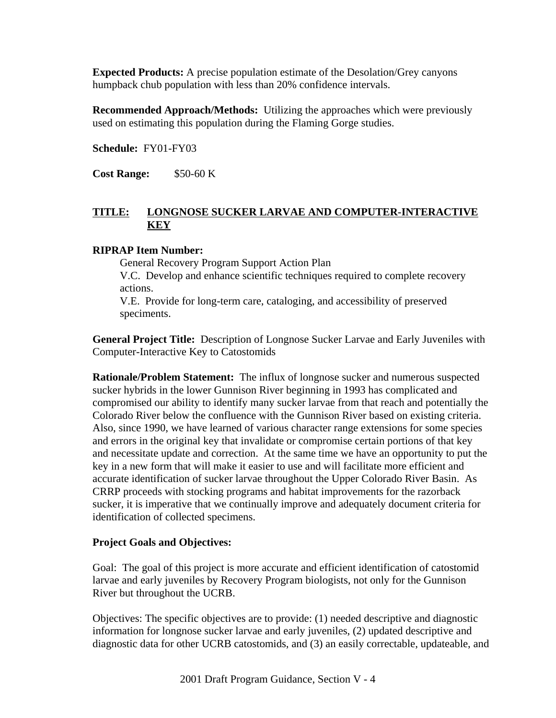**Expected Products:** A precise population estimate of the Desolation/Grey canyons humpback chub population with less than 20% confidence intervals.

**Recommended Approach/Methods:** Utilizing the approaches which were previously used on estimating this population during the Flaming Gorge studies.

**Schedule:** FY01-FY03

**Cost Range:** \$50-60 K

# **TITLE: LONGNOSE SUCKER LARVAE AND COMPUTER-INTERACTIVE KEY**

### **RIPRAP Item Number:**

General Recovery Program Support Action Plan V.C. Develop and enhance scientific techniques required to complete recovery actions.

V.E. Provide for long-term care, cataloging, and accessibility of preserved speciments.

**General Project Title:** Description of Longnose Sucker Larvae and Early Juveniles with Computer-Interactive Key to Catostomids

**Rationale/Problem Statement:** The influx of longnose sucker and numerous suspected sucker hybrids in the lower Gunnison River beginning in 1993 has complicated and compromised our ability to identify many sucker larvae from that reach and potentially the Colorado River below the confluence with the Gunnison River based on existing criteria. Also, since 1990, we have learned of various character range extensions for some species and errors in the original key that invalidate or compromise certain portions of that key and necessitate update and correction. At the same time we have an opportunity to put the key in a new form that will make it easier to use and will facilitate more efficient and accurate identification of sucker larvae throughout the Upper Colorado River Basin. As CRRP proceeds with stocking programs and habitat improvements for the razorback sucker, it is imperative that we continually improve and adequately document criteria for identification of collected specimens.

#### **Project Goals and Objectives:**

Goal: The goal of this project is more accurate and efficient identification of catostomid larvae and early juveniles by Recovery Program biologists, not only for the Gunnison River but throughout the UCRB.

Objectives: The specific objectives are to provide: (1) needed descriptive and diagnostic information for longnose sucker larvae and early juveniles, (2) updated descriptive and diagnostic data for other UCRB catostomids, and (3) an easily correctable, updateable, and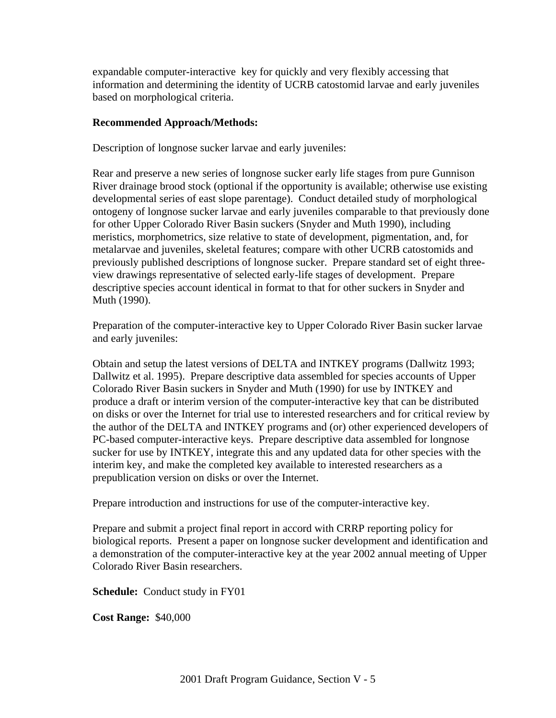expandable computer-interactive key for quickly and very flexibly accessing that information and determining the identity of UCRB catostomid larvae and early juveniles based on morphological criteria.

### **Recommended Approach/Methods:**

Description of longnose sucker larvae and early juveniles:

Rear and preserve a new series of longnose sucker early life stages from pure Gunnison River drainage brood stock (optional if the opportunity is available; otherwise use existing developmental series of east slope parentage). Conduct detailed study of morphological ontogeny of longnose sucker larvae and early juveniles comparable to that previously done for other Upper Colorado River Basin suckers (Snyder and Muth 1990), including meristics, morphometrics, size relative to state of development, pigmentation, and, for metalarvae and juveniles, skeletal features; compare with other UCRB catostomids and previously published descriptions of longnose sucker. Prepare standard set of eight threeview drawings representative of selected early-life stages of development. Prepare descriptive species account identical in format to that for other suckers in Snyder and Muth (1990).

Preparation of the computer-interactive key to Upper Colorado River Basin sucker larvae and early juveniles:

Obtain and setup the latest versions of DELTA and INTKEY programs (Dallwitz 1993; Dallwitz et al. 1995). Prepare descriptive data assembled for species accounts of Upper Colorado River Basin suckers in Snyder and Muth (1990) for use by INTKEY and produce a draft or interim version of the computer-interactive key that can be distributed on disks or over the Internet for trial use to interested researchers and for critical review by the author of the DELTA and INTKEY programs and (or) other experienced developers of PC-based computer-interactive keys. Prepare descriptive data assembled for longnose sucker for use by INTKEY, integrate this and any updated data for other species with the interim key, and make the completed key available to interested researchers as a prepublication version on disks or over the Internet.

Prepare introduction and instructions for use of the computer-interactive key.

Prepare and submit a project final report in accord with CRRP reporting policy for biological reports. Present a paper on longnose sucker development and identification and a demonstration of the computer-interactive key at the year 2002 annual meeting of Upper Colorado River Basin researchers.

**Schedule:** Conduct study in FY01

**Cost Range:** \$40,000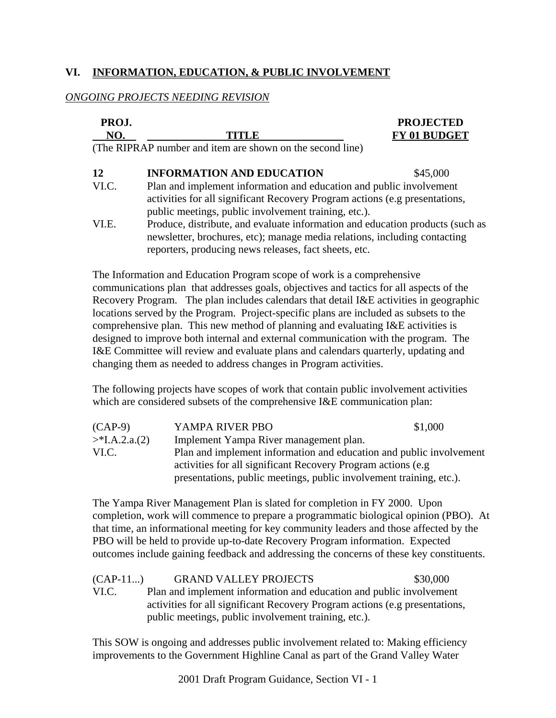# **VI. INFORMATION, EDUCATION, & PUBLIC INVOLVEMENT**

# *ONGOING PROJECTS NEEDING REVISION*

|                                                                                                                                                                                                                     | <b>PROJECTED</b>                                                                                                           |
|---------------------------------------------------------------------------------------------------------------------------------------------------------------------------------------------------------------------|----------------------------------------------------------------------------------------------------------------------------|
| TITLE                                                                                                                                                                                                               | FY 01 BUDGET                                                                                                               |
|                                                                                                                                                                                                                     |                                                                                                                            |
| <b>INFORMATION AND EDUCATION</b>                                                                                                                                                                                    | \$45,000                                                                                                                   |
| Plan and implement information and education and public involvement<br>activities for all significant Recovery Program actions (e.g presentations,                                                                  |                                                                                                                            |
| Produce, distribute, and evaluate information and education products (such as<br>newsletter, brochures, etc); manage media relations, including contacting<br>reporters, producing news releases, fact sheets, etc. |                                                                                                                            |
|                                                                                                                                                                                                                     | PROJ.<br>(The RIPRAP number and item are shown on the second line)<br>public meetings, public involvement training, etc.). |

The Information and Education Program scope of work is a comprehensive communications plan that addresses goals, objectives and tactics for all aspects of the Recovery Program. The plan includes calendars that detail I&E activities in geographic locations served by the Program. Project-specific plans are included as subsets to the comprehensive plan. This new method of planning and evaluating I&E activities is designed to improve both internal and external communication with the program. The I&E Committee will review and evaluate plans and calendars quarterly, updating and changing them as needed to address changes in Program activities.

The following projects have scopes of work that contain public involvement activities which are considered subsets of the comprehensive I&E communication plan:

| $(CAP-9)$        | YAMPA RIVER PBO                                                     | \$1,000 |
|------------------|---------------------------------------------------------------------|---------|
| $>$ *I.A.2.a.(2) | Implement Yampa River management plan.                              |         |
| VI.C.            | Plan and implement information and education and public involvement |         |
|                  | activities for all significant Recovery Program actions (e.g.       |         |
|                  | presentations, public meetings, public involvement training, etc.). |         |

The Yampa River Management Plan is slated for completion in FY 2000. Upon completion, work will commence to prepare a programmatic biological opinion (PBO). At that time, an informational meeting for key community leaders and those affected by the PBO will be held to provide up-to-date Recovery Program information. Expected outcomes include gaining feedback and addressing the concerns of these key constituents.

| $(CAP-11)$ | <b>GRAND VALLEY PROJECTS</b>                                                | \$30,000 |
|------------|-----------------------------------------------------------------------------|----------|
| VI.C.      | Plan and implement information and education and public involvement         |          |
|            | activities for all significant Recovery Program actions (e.g presentations, |          |
|            | public meetings, public involvement training, etc.).                        |          |

This SOW is ongoing and addresses public involvement related to: Making efficiency improvements to the Government Highline Canal as part of the Grand Valley Water

2001 Draft Program Guidance, Section VI - 1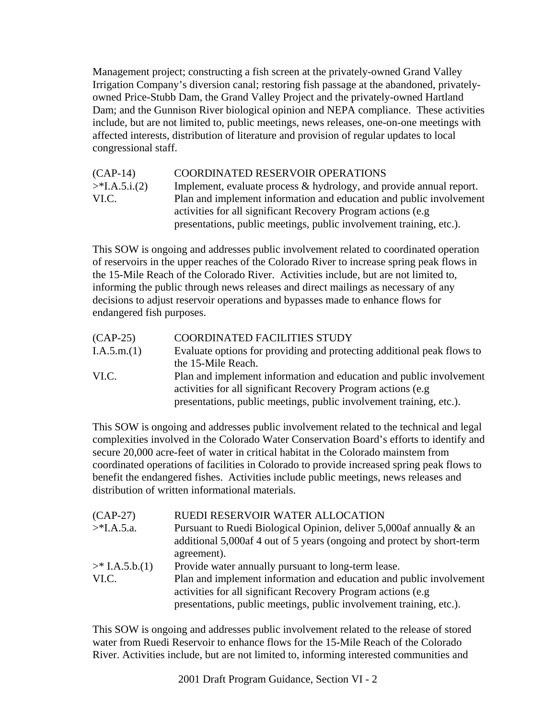Management project; constructing a fish screen at the privately-owned Grand Valley Irrigation Company's diversion canal; restoring fish passage at the abandoned, privatelyowned Price-Stubb Dam, the Grand Valley Project and the privately-owned Hartland Dam; and the Gunnison River biological opinion and NEPA compliance. These activities include, but are not limited to, public meetings, news releases, one-on-one meetings with affected interests, distribution of literature and provision of regular updates to local congressional staff.

| $(CAP-14)$       | COORDINATED RESERVOIR OPERATIONS                                       |
|------------------|------------------------------------------------------------------------|
| $>$ *I.A.5.i.(2) | Implement, evaluate process $\&$ hydrology, and provide annual report. |
| VI.C.            | Plan and implement information and education and public involvement    |
|                  | activities for all significant Recovery Program actions (e.g.          |
|                  | presentations, public meetings, public involvement training, etc.).    |

This SOW is ongoing and addresses public involvement related to coordinated operation of reservoirs in the upper reaches of the Colorado River to increase spring peak flows in the 15-Mile Reach of the Colorado River. Activities include, but are not limited to, informing the public through news releases and direct mailings as necessary of any decisions to adjust reservoir operations and bypasses made to enhance flows for endangered fish purposes.

| $(CAP-25)$  | COORDINATED FACILITIES STUDY                                           |
|-------------|------------------------------------------------------------------------|
| I.A.5.m.(1) | Evaluate options for providing and protecting additional peak flows to |
|             | the 15-Mile Reach.                                                     |
| VI.C.       | Plan and implement information and education and public involvement    |
|             | activities for all significant Recovery Program actions (e.g.          |
|             | presentations, public meetings, public involvement training, etc.).    |

This SOW is ongoing and addresses public involvement related to the technical and legal complexities involved in the Colorado Water Conservation Board's efforts to identify and secure 20,000 acre-feet of water in critical habitat in the Colorado mainstem from coordinated operations of facilities in Colorado to provide increased spring peak flows to benefit the endangered fishes. Activities include public meetings, news releases and distribution of written informational materials.

| $(CAP-27)$      | RUEDI RESERVOIR WATER ALLOCATION                                        |
|-----------------|-------------------------------------------------------------------------|
| $>$ *I.A.5.a.   | Pursuant to Ruedi Biological Opinion, deliver 5,000af annually & an     |
|                 | additional 5,000 af 4 out of 5 years (ongoing and protect by short-term |
|                 | agreement).                                                             |
| $>$ I.A.5.b.(1) | Provide water annually pursuant to long-term lease.                     |
| VI.C.           | Plan and implement information and education and public involvement     |
|                 | activities for all significant Recovery Program actions (e.g.           |
|                 | presentations, public meetings, public involvement training, etc.).     |

This SOW is ongoing and addresses public involvement related to the release of stored water from Ruedi Reservoir to enhance flows for the 15-Mile Reach of the Colorado River. Activities include, but are not limited to, informing interested communities and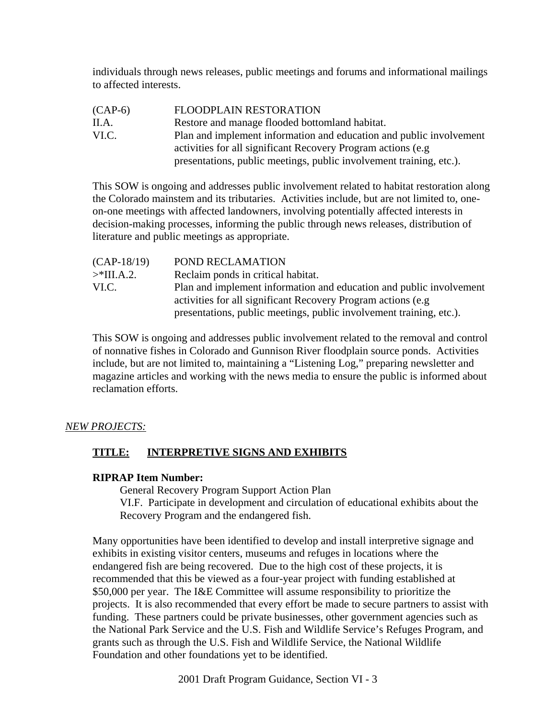individuals through news releases, public meetings and forums and informational mailings to affected interests.

(CAP-6) FLOODPLAIN RESTORATION II.A. Restore and manage flooded bottomland habitat. VI.C. Plan and implement information and education and public involvement activities for all significant Recovery Program actions (e.g presentations, public meetings, public involvement training, etc.).

This SOW is ongoing and addresses public involvement related to habitat restoration along the Colorado mainstem and its tributaries. Activities include, but are not limited to, oneon-one meetings with affected landowners, involving potentially affected interests in decision-making processes, informing the public through news releases, distribution of literature and public meetings as appropriate.

| $(CAP-18/19)$ | POND RECLAMATION                                                    |
|---------------|---------------------------------------------------------------------|
| $>$ *III.A.2. | Reclaim ponds in critical habitat.                                  |
| VI.C.         | Plan and implement information and education and public involvement |
|               | activities for all significant Recovery Program actions (e.g.       |
|               | presentations, public meetings, public involvement training, etc.). |

This SOW is ongoing and addresses public involvement related to the removal and control of nonnative fishes in Colorado and Gunnison River floodplain source ponds. Activities include, but are not limited to, maintaining a "Listening Log," preparing newsletter and magazine articles and working with the news media to ensure the public is informed about reclamation efforts.

### *NEW PROJECTS:*

# **TITLE: INTERPRETIVE SIGNS AND EXHIBITS**

### **RIPRAP Item Number:**

General Recovery Program Support Action Plan VI.F. Participate in development and circulation of educational exhibits about the Recovery Program and the endangered fish.

Many opportunities have been identified to develop and install interpretive signage and exhibits in existing visitor centers, museums and refuges in locations where the endangered fish are being recovered. Due to the high cost of these projects, it is recommended that this be viewed as a four-year project with funding established at \$50,000 per year. The I&E Committee will assume responsibility to prioritize the projects. It is also recommended that every effort be made to secure partners to assist with funding. These partners could be private businesses, other government agencies such as the National Park Service and the U.S. Fish and Wildlife Service's Refuges Program, and grants such as through the U.S. Fish and Wildlife Service, the National Wildlife Foundation and other foundations yet to be identified.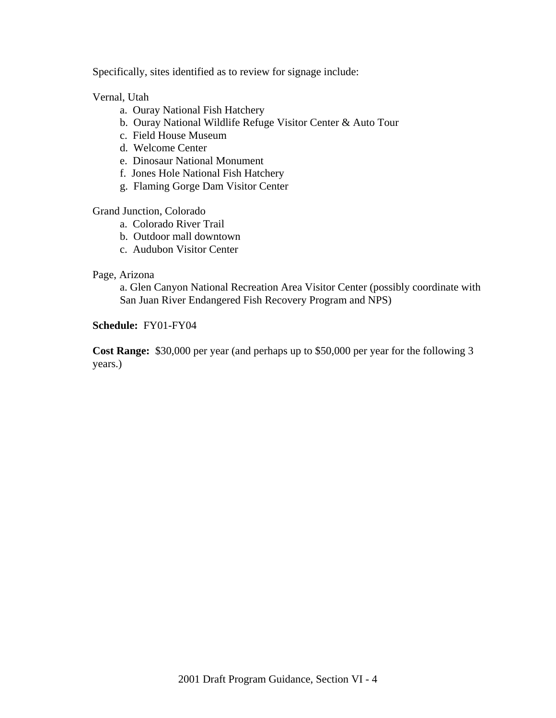Specifically, sites identified as to review for signage include:

Vernal, Utah

- a. Ouray National Fish Hatchery
- b. Ouray National Wildlife Refuge Visitor Center & Auto Tour
- c. Field House Museum
- d. Welcome Center
- e. Dinosaur National Monument
- f. Jones Hole National Fish Hatchery
- g. Flaming Gorge Dam Visitor Center

Grand Junction, Colorado

- a. Colorado River Trail
- b. Outdoor mall downtown
- c. Audubon Visitor Center

#### Page, Arizona

a. Glen Canyon National Recreation Area Visitor Center (possibly coordinate with San Juan River Endangered Fish Recovery Program and NPS)

#### **Schedule:** FY01-FY04

**Cost Range:** \$30,000 per year (and perhaps up to \$50,000 per year for the following 3 years.)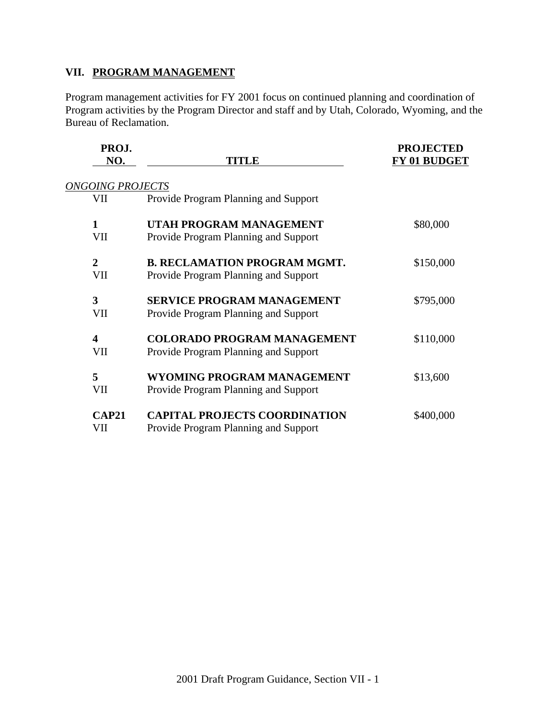# **VII. PROGRAM MANAGEMENT**

Program management activities for FY 2001 focus on continued planning and coordination of Program activities by the Program Director and staff and by Utah, Colorado, Wyoming, and the Bureau of Reclamation.

| PROJ.<br>NO.            | TITLE                                | <b>PROJECTED</b><br>FY 01 BUDGET |
|-------------------------|--------------------------------------|----------------------------------|
| <b>ONGOING PROJECTS</b> |                                      |                                  |
| VII                     | Provide Program Planning and Support |                                  |
| 1                       | UTAH PROGRAM MANAGEMENT              | \$80,000                         |
| VII                     | Provide Program Planning and Support |                                  |
| $\overline{2}$          | <b>B. RECLAMATION PROGRAM MGMT.</b>  | \$150,000                        |
| VII                     | Provide Program Planning and Support |                                  |
| 3                       | <b>SERVICE PROGRAM MANAGEMENT</b>    | \$795,000                        |
| VII                     | Provide Program Planning and Support |                                  |
| 4                       | <b>COLORADO PROGRAM MANAGEMENT</b>   | \$110,000                        |
| VII                     | Provide Program Planning and Support |                                  |
| 5                       | WYOMING PROGRAM MANAGEMENT           | \$13,600                         |
| VII                     | Provide Program Planning and Support |                                  |
| <b>CAP21</b>            | <b>CAPITAL PROJECTS COORDINATION</b> | \$400,000                        |
| VII                     | Provide Program Planning and Support |                                  |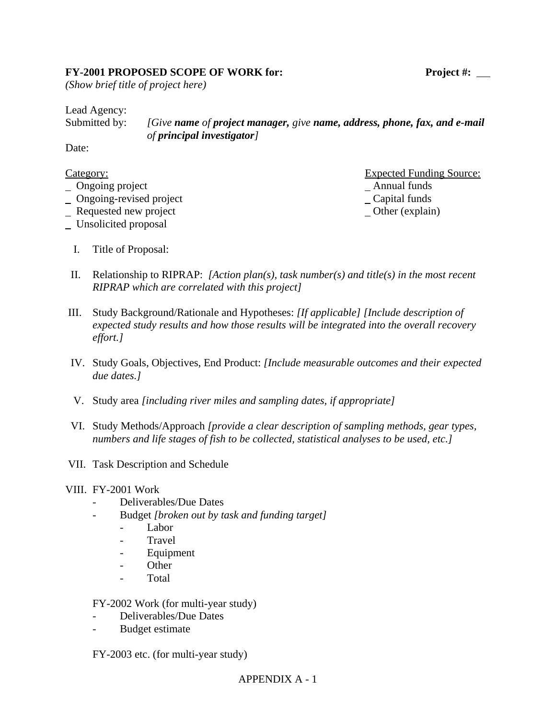### FY-2001 PROPOSED SCOPE OF WORK for: Project #: \_\_

*(Show brief title of project here)*

Lead Agency:

Submitted by: *[Give name of project manager, give name, address, phone, fax, and e-mail of principal investigator]*

Date:

| Category:                      | <b>Expected Funding Source:</b> |
|--------------------------------|---------------------------------|
| $\Box$ Ongoing project         | Annual funds                    |
| $\Box$ Ongoing-revised project | $\angle$ Capital funds          |
|                                |                                 |

- Requested new project Channel Channel Channel Channel Channel Channel Channel Channel Channel Channel Channel Channel Channel Channel Channel Channel Channel Channel Channel Channel Channel Channel Channel Channel Channel
- Unsolicited proposal
	- I. Title of Proposal:

\_ Annual funds  $\overline{\phantom{a}}$  Capital funds

- II. Relationship to RIPRAP: *[Action plan(s), task number(s) and title(s) in the most recent RIPRAP which are correlated with this project]*
- III. Study Background/Rationale and Hypotheses: *[If applicable] [Include description of expected study results and how those results will be integrated into the overall recovery effort.]*
- IV. Study Goals, Objectives, End Product: *[Include measurable outcomes and their expected due dates.]*
- V. Study area *[including river miles and sampling dates, if appropriate]*
- VI. Study Methods/Approach *[provide a clear description of sampling methods, gear types, numbers and life stages of fish to be collected, statistical analyses to be used, etc.]*
- VII. Task Description and Schedule

#### VIII. FY-2001 Work

- Deliverables/Due Dates
- Budget *[broken out by task and funding target]*
	- Labor
	- **Travel**
	- **Equipment**
	- Other
	- Total

FY-2002 Work (for multi-year study)

- Deliverables/Due Dates
- Budget estimate

FY-2003 etc. (for multi-year study)